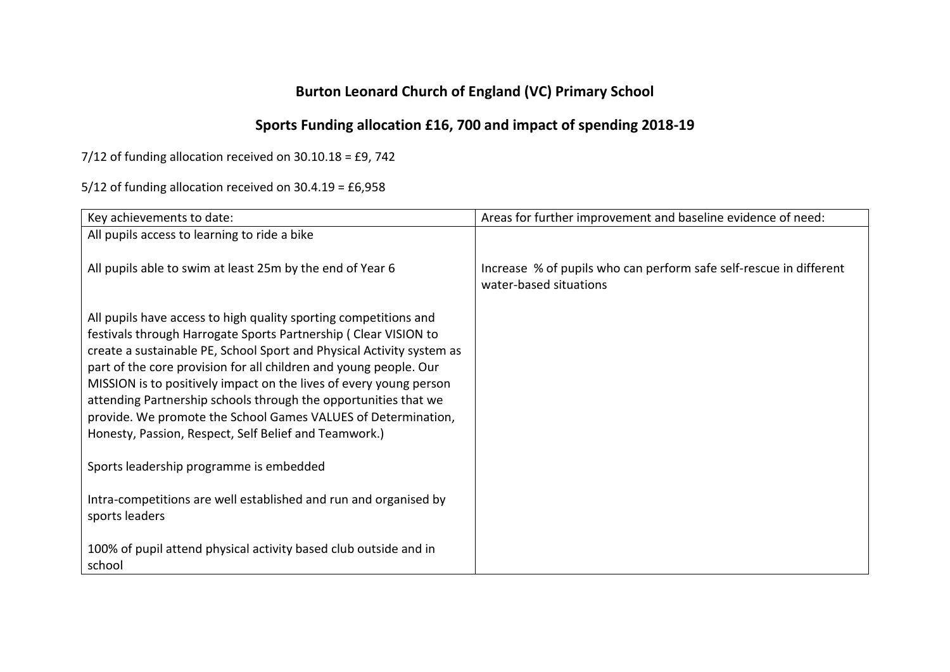## **Burton Leonard Church of England (VC) Primary School**

## **Sports Funding allocation £16, 700 and impact of spending 2018-19**

7/12 of funding allocation received on 30.10.18 = £9, 742

5/12 of funding allocation received on 30.4.19 = £6,958

| Key achievements to date:                                                                                                                                                                                                                                                                                                                                                                                                                                                                                                                            | Areas for further improvement and baseline evidence of need:                                 |
|------------------------------------------------------------------------------------------------------------------------------------------------------------------------------------------------------------------------------------------------------------------------------------------------------------------------------------------------------------------------------------------------------------------------------------------------------------------------------------------------------------------------------------------------------|----------------------------------------------------------------------------------------------|
| All pupils access to learning to ride a bike                                                                                                                                                                                                                                                                                                                                                                                                                                                                                                         |                                                                                              |
| All pupils able to swim at least 25m by the end of Year 6                                                                                                                                                                                                                                                                                                                                                                                                                                                                                            | Increase % of pupils who can perform safe self-rescue in different<br>water-based situations |
| All pupils have access to high quality sporting competitions and<br>festivals through Harrogate Sports Partnership (Clear VISION to<br>create a sustainable PE, School Sport and Physical Activity system as<br>part of the core provision for all children and young people. Our<br>MISSION is to positively impact on the lives of every young person<br>attending Partnership schools through the opportunities that we<br>provide. We promote the School Games VALUES of Determination,<br>Honesty, Passion, Respect, Self Belief and Teamwork.) |                                                                                              |
| Sports leadership programme is embedded                                                                                                                                                                                                                                                                                                                                                                                                                                                                                                              |                                                                                              |
| Intra-competitions are well established and run and organised by<br>sports leaders                                                                                                                                                                                                                                                                                                                                                                                                                                                                   |                                                                                              |
| 100% of pupil attend physical activity based club outside and in<br>school                                                                                                                                                                                                                                                                                                                                                                                                                                                                           |                                                                                              |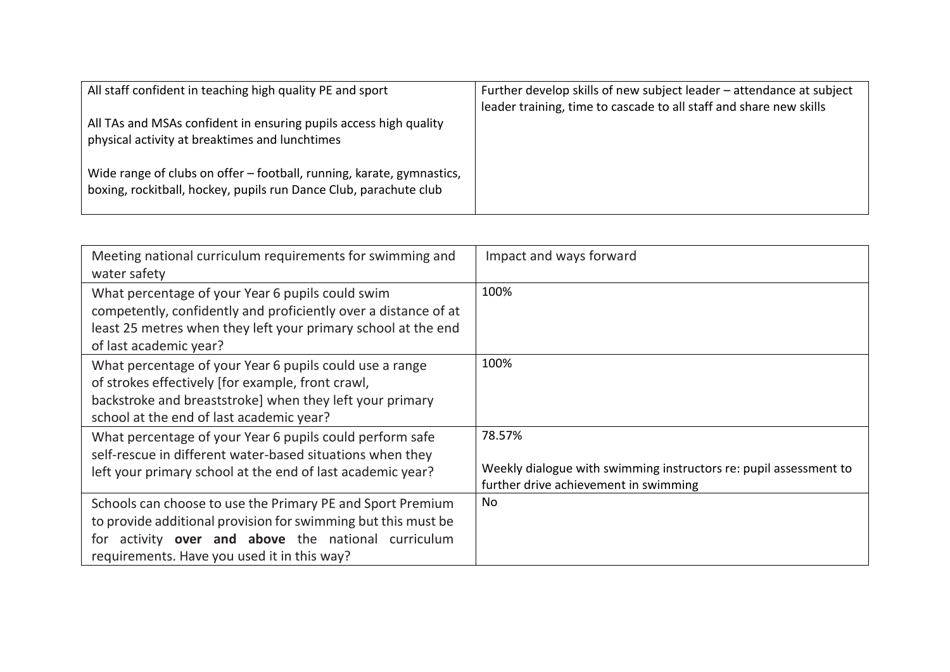| All staff confident in teaching high quality PE and sport                                                                                  | Further develop skills of new subject leader - attendance at subject |
|--------------------------------------------------------------------------------------------------------------------------------------------|----------------------------------------------------------------------|
|                                                                                                                                            | leader training, time to cascade to all staff and share new skills   |
| All TAs and MSAs confident in ensuring pupils access high quality                                                                          |                                                                      |
| physical activity at breaktimes and lunchtimes                                                                                             |                                                                      |
| Wide range of clubs on offer – football, running, karate, gymnastics,<br>boxing, rockitball, hockey, pupils run Dance Club, parachute club |                                                                      |

| Meeting national curriculum requirements for swimming and<br>water safety                                                                                                                                                            | Impact and ways forward                                                                                              |
|--------------------------------------------------------------------------------------------------------------------------------------------------------------------------------------------------------------------------------------|----------------------------------------------------------------------------------------------------------------------|
| What percentage of your Year 6 pupils could swim<br>competently, confidently and proficiently over a distance of at<br>least 25 metres when they left your primary school at the end<br>of last academic year?                       | 100%                                                                                                                 |
| What percentage of your Year 6 pupils could use a range<br>of strokes effectively [for example, front crawl,<br>backstroke and breaststroke] when they left your primary<br>school at the end of last academic year?                 | 100%                                                                                                                 |
| What percentage of your Year 6 pupils could perform safe<br>self-rescue in different water-based situations when they<br>left your primary school at the end of last academic year?                                                  | 78.57%<br>Weekly dialogue with swimming instructors re: pupil assessment to<br>further drive achievement in swimming |
| Schools can choose to use the Primary PE and Sport Premium<br>to provide additional provision for swimming but this must be<br>activity over and above the national curriculum<br>tor<br>requirements. Have you used it in this way? | No                                                                                                                   |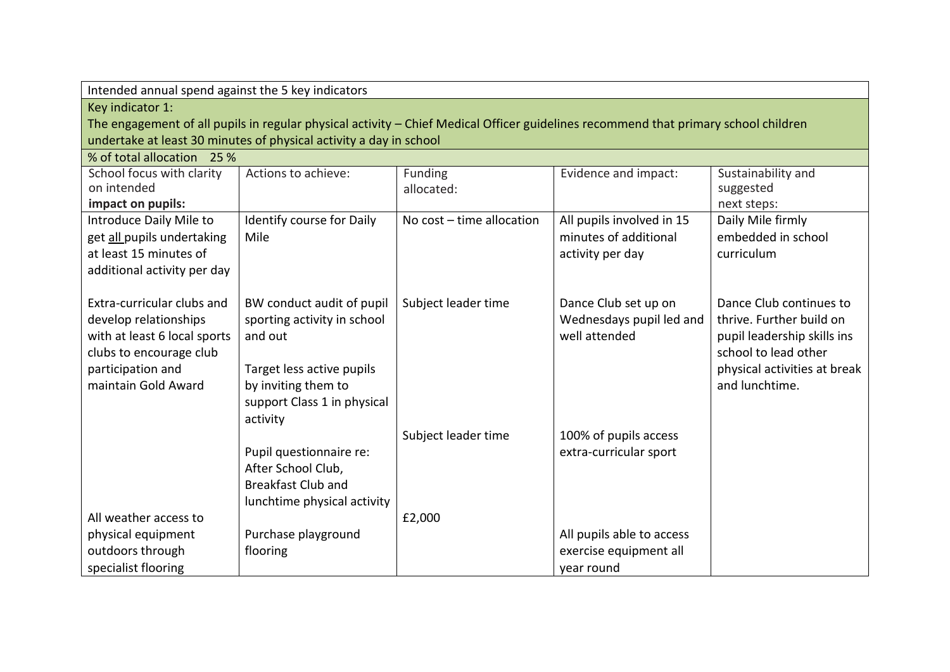| Intended annual spend against the 5 key indicators |                                                                    |                           |                                                                                                                                     |                              |
|----------------------------------------------------|--------------------------------------------------------------------|---------------------------|-------------------------------------------------------------------------------------------------------------------------------------|------------------------------|
| Key indicator 1:                                   |                                                                    |                           |                                                                                                                                     |                              |
|                                                    |                                                                    |                           | The engagement of all pupils in regular physical activity - Chief Medical Officer guidelines recommend that primary school children |                              |
|                                                    | undertake at least 30 minutes of physical activity a day in school |                           |                                                                                                                                     |                              |
| % of total allocation 25 %                         |                                                                    |                           |                                                                                                                                     |                              |
| School focus with clarity                          | Actions to achieve:                                                | Funding                   | Evidence and impact:                                                                                                                | Sustainability and           |
| on intended                                        |                                                                    | allocated:                |                                                                                                                                     | suggested                    |
| impact on pupils:                                  |                                                                    |                           |                                                                                                                                     | next steps:                  |
| Introduce Daily Mile to                            | Identify course for Daily                                          | No cost - time allocation | All pupils involved in 15                                                                                                           | Daily Mile firmly            |
| get all pupils undertaking                         | Mile                                                               |                           | minutes of additional                                                                                                               | embedded in school           |
| at least 15 minutes of                             |                                                                    |                           | activity per day                                                                                                                    | curriculum                   |
| additional activity per day                        |                                                                    |                           |                                                                                                                                     |                              |
|                                                    |                                                                    |                           |                                                                                                                                     |                              |
| Extra-curricular clubs and                         | BW conduct audit of pupil                                          | Subject leader time       | Dance Club set up on                                                                                                                | Dance Club continues to      |
| develop relationships                              | sporting activity in school                                        |                           | Wednesdays pupil led and                                                                                                            | thrive. Further build on     |
| with at least 6 local sports                       | and out                                                            |                           | well attended                                                                                                                       | pupil leadership skills ins  |
| clubs to encourage club                            |                                                                    |                           |                                                                                                                                     | school to lead other         |
| participation and                                  | Target less active pupils                                          |                           |                                                                                                                                     | physical activities at break |
| maintain Gold Award                                | by inviting them to                                                |                           |                                                                                                                                     | and lunchtime.               |
|                                                    | support Class 1 in physical                                        |                           |                                                                                                                                     |                              |
|                                                    | activity                                                           |                           |                                                                                                                                     |                              |
|                                                    |                                                                    | Subject leader time       | 100% of pupils access                                                                                                               |                              |
|                                                    | Pupil questionnaire re:                                            |                           | extra-curricular sport                                                                                                              |                              |
|                                                    | After School Club,                                                 |                           |                                                                                                                                     |                              |
|                                                    | <b>Breakfast Club and</b>                                          |                           |                                                                                                                                     |                              |
|                                                    | lunchtime physical activity                                        |                           |                                                                                                                                     |                              |
| All weather access to                              |                                                                    | £2,000                    |                                                                                                                                     |                              |
| physical equipment                                 | Purchase playground                                                |                           | All pupils able to access                                                                                                           |                              |
| outdoors through                                   | flooring                                                           |                           | exercise equipment all                                                                                                              |                              |
| specialist flooring                                |                                                                    |                           | year round                                                                                                                          |                              |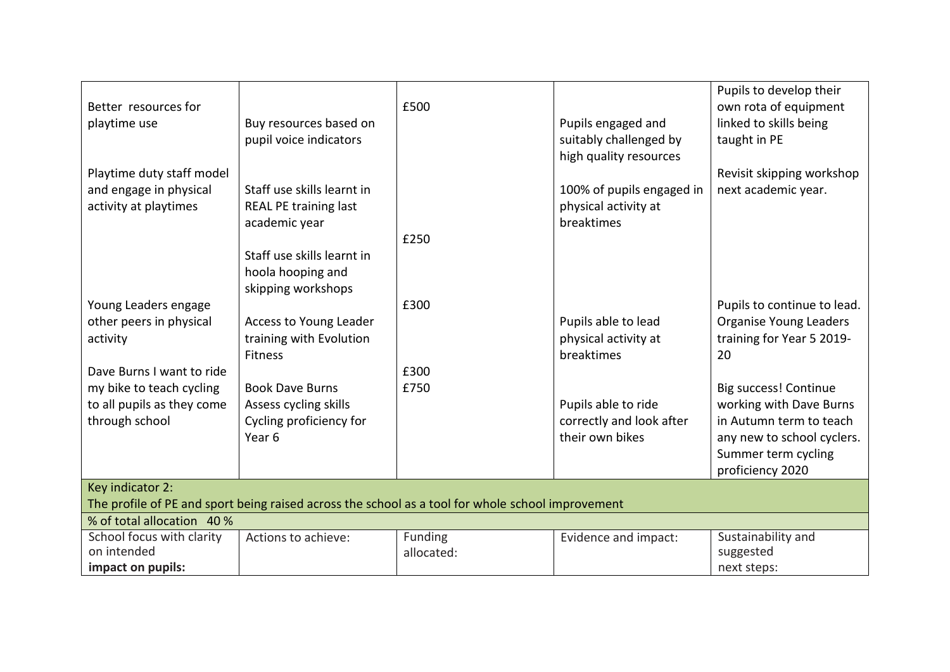| Better resources for<br>Buy resources based on<br>playtime use<br>pupil voice indicators<br>Playtime duty staff model<br>Staff use skills learnt in<br>and engage in physical<br>activity at playtimes<br><b>REAL PE training last</b><br>academic year<br>Staff use skills learnt in<br>hoola hooping and<br>skipping workshops | £500<br>£250          | Pupils engaged and<br>suitably challenged by<br>high quality resources<br>100% of pupils engaged in<br>physical activity at<br>breaktimes | Pupils to develop their<br>own rota of equipment<br>linked to skills being<br>taught in PE<br>Revisit skipping workshop<br>next academic year. |  |
|----------------------------------------------------------------------------------------------------------------------------------------------------------------------------------------------------------------------------------------------------------------------------------------------------------------------------------|-----------------------|-------------------------------------------------------------------------------------------------------------------------------------------|------------------------------------------------------------------------------------------------------------------------------------------------|--|
| Young Leaders engage                                                                                                                                                                                                                                                                                                             | £300                  |                                                                                                                                           | Pupils to continue to lead.                                                                                                                    |  |
| other peers in physical<br>Access to Young Leader<br>training with Evolution                                                                                                                                                                                                                                                     |                       | Pupils able to lead<br>physical activity at                                                                                               | <b>Organise Young Leaders</b><br>training for Year 5 2019-                                                                                     |  |
| activity<br><b>Fitness</b>                                                                                                                                                                                                                                                                                                       |                       | breaktimes                                                                                                                                | 20                                                                                                                                             |  |
| Dave Burns I want to ride                                                                                                                                                                                                                                                                                                        | £300                  |                                                                                                                                           |                                                                                                                                                |  |
| my bike to teach cycling<br><b>Book Dave Burns</b>                                                                                                                                                                                                                                                                               | £750                  |                                                                                                                                           | Big success! Continue                                                                                                                          |  |
| to all pupils as they come<br>Assess cycling skills                                                                                                                                                                                                                                                                              |                       | Pupils able to ride                                                                                                                       | working with Dave Burns                                                                                                                        |  |
| Cycling proficiency for<br>through school                                                                                                                                                                                                                                                                                        |                       | correctly and look after                                                                                                                  | in Autumn term to teach                                                                                                                        |  |
| Year <sub>6</sub>                                                                                                                                                                                                                                                                                                                |                       | their own bikes                                                                                                                           | any new to school cyclers.                                                                                                                     |  |
|                                                                                                                                                                                                                                                                                                                                  |                       |                                                                                                                                           | Summer term cycling<br>proficiency 2020                                                                                                        |  |
| Key indicator 2:                                                                                                                                                                                                                                                                                                                 |                       |                                                                                                                                           |                                                                                                                                                |  |
| The profile of PE and sport being raised across the school as a tool for whole school improvement                                                                                                                                                                                                                                |                       |                                                                                                                                           |                                                                                                                                                |  |
| % of total allocation 40 %                                                                                                                                                                                                                                                                                                       |                       |                                                                                                                                           |                                                                                                                                                |  |
| School focus with clarity<br>Actions to achieve:<br>on intended                                                                                                                                                                                                                                                                  | Funding<br>allocated: | Evidence and impact:                                                                                                                      | Sustainability and<br>suggested                                                                                                                |  |
| impact on pupils:                                                                                                                                                                                                                                                                                                                |                       |                                                                                                                                           |                                                                                                                                                |  |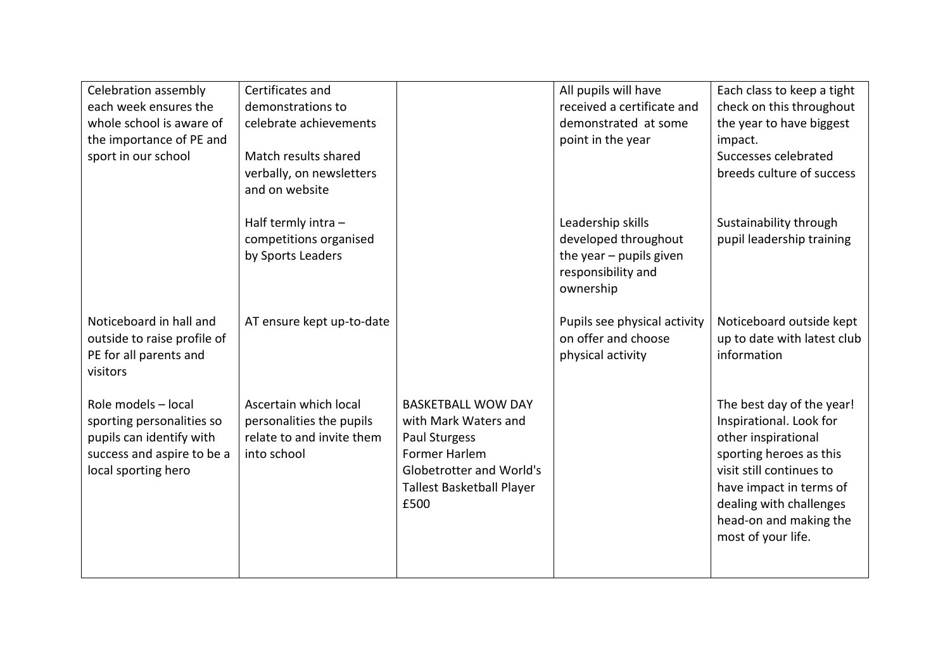| Celebration assembly        | Certificates and          |                           | All pupils will have         | Each class to keep a tight  |
|-----------------------------|---------------------------|---------------------------|------------------------------|-----------------------------|
| each week ensures the       | demonstrations to         |                           | received a certificate and   | check on this throughout    |
| whole school is aware of    | celebrate achievements    |                           | demonstrated at some         | the year to have biggest    |
| the importance of PE and    |                           |                           | point in the year            | impact.                     |
| sport in our school         | Match results shared      |                           |                              | Successes celebrated        |
|                             | verbally, on newsletters  |                           |                              | breeds culture of success   |
|                             | and on website            |                           |                              |                             |
|                             | Half termly intra -       |                           | Leadership skills            | Sustainability through      |
|                             | competitions organised    |                           | developed throughout         | pupil leadership training   |
|                             | by Sports Leaders         |                           | the year $-$ pupils given    |                             |
|                             |                           |                           | responsibility and           |                             |
|                             |                           |                           | ownership                    |                             |
| Noticeboard in hall and     | AT ensure kept up-to-date |                           | Pupils see physical activity | Noticeboard outside kept    |
| outside to raise profile of |                           |                           | on offer and choose          | up to date with latest club |
| PE for all parents and      |                           |                           | physical activity            | information                 |
| visitors                    |                           |                           |                              |                             |
|                             |                           |                           |                              |                             |
| Role models - local         | Ascertain which local     | <b>BASKETBALL WOW DAY</b> |                              | The best day of the year!   |
| sporting personalities so   | personalities the pupils  | with Mark Waters and      |                              | Inspirational. Look for     |
| pupils can identify with    | relate to and invite them | Paul Sturgess             |                              | other inspirational         |
| success and aspire to be a  | into school               | Former Harlem             |                              | sporting heroes as this     |
| local sporting hero         |                           | Globetrotter and World's  |                              | visit still continues to    |
|                             |                           | Tallest Basketball Player |                              | have impact in terms of     |
|                             |                           | £500                      |                              | dealing with challenges     |
|                             |                           |                           |                              | head-on and making the      |
|                             |                           |                           |                              | most of your life.          |
|                             |                           |                           |                              |                             |
|                             |                           |                           |                              |                             |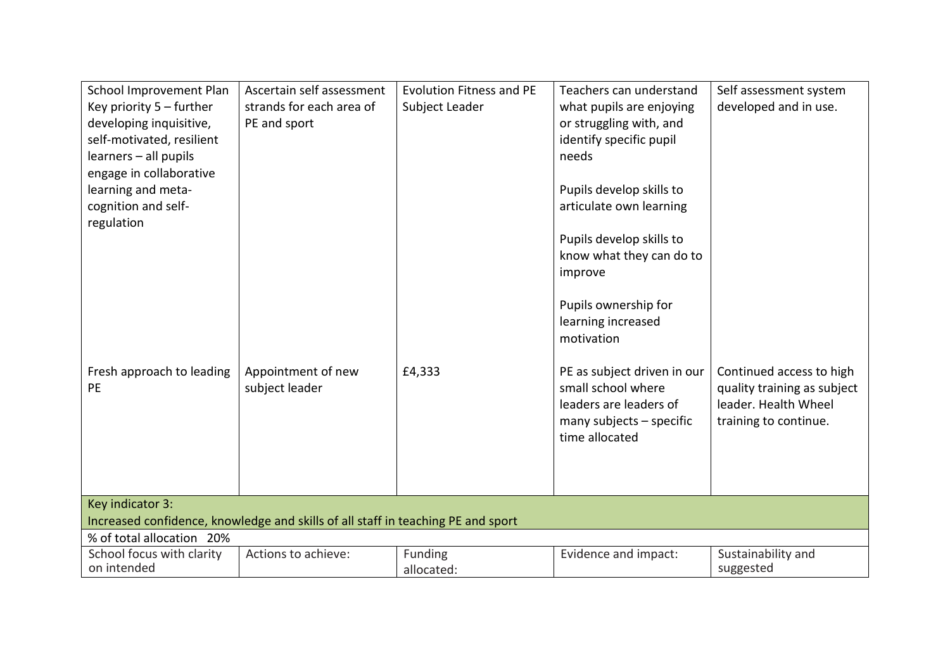| School Improvement Plan<br>Key priority $5$ – further<br>developing inquisitive,<br>self-motivated, resilient<br>learners - all pupils<br>engage in collaborative | Ascertain self assessment<br>strands for each area of<br>PE and sport            | <b>Evolution Fitness and PE</b><br>Subject Leader | Teachers can understand<br>what pupils are enjoying<br>or struggling with, and<br>identify specific pupil<br>needs          | Self assessment system<br>developed and in use.                                                          |
|-------------------------------------------------------------------------------------------------------------------------------------------------------------------|----------------------------------------------------------------------------------|---------------------------------------------------|-----------------------------------------------------------------------------------------------------------------------------|----------------------------------------------------------------------------------------------------------|
| learning and meta-<br>cognition and self-<br>regulation                                                                                                           |                                                                                  |                                                   | Pupils develop skills to<br>articulate own learning                                                                         |                                                                                                          |
|                                                                                                                                                                   |                                                                                  |                                                   | Pupils develop skills to<br>know what they can do to<br>improve                                                             |                                                                                                          |
|                                                                                                                                                                   |                                                                                  |                                                   | Pupils ownership for<br>learning increased<br>motivation                                                                    |                                                                                                          |
| Fresh approach to leading<br>PE                                                                                                                                   | Appointment of new<br>subject leader                                             | £4,333                                            | PE as subject driven in our<br>small school where<br>leaders are leaders of<br>many subjects $-$ specific<br>time allocated | Continued access to high<br>quality training as subject<br>leader. Health Wheel<br>training to continue. |
| Key indicator 3:                                                                                                                                                  | Increased confidence, knowledge and skills of all staff in teaching PE and sport |                                                   |                                                                                                                             |                                                                                                          |
| % of total allocation 20%                                                                                                                                         |                                                                                  |                                                   |                                                                                                                             |                                                                                                          |
| School focus with clarity<br>on intended                                                                                                                          | Actions to achieve:                                                              | Funding<br>allocated:                             | Evidence and impact:                                                                                                        | Sustainability and<br>suggested                                                                          |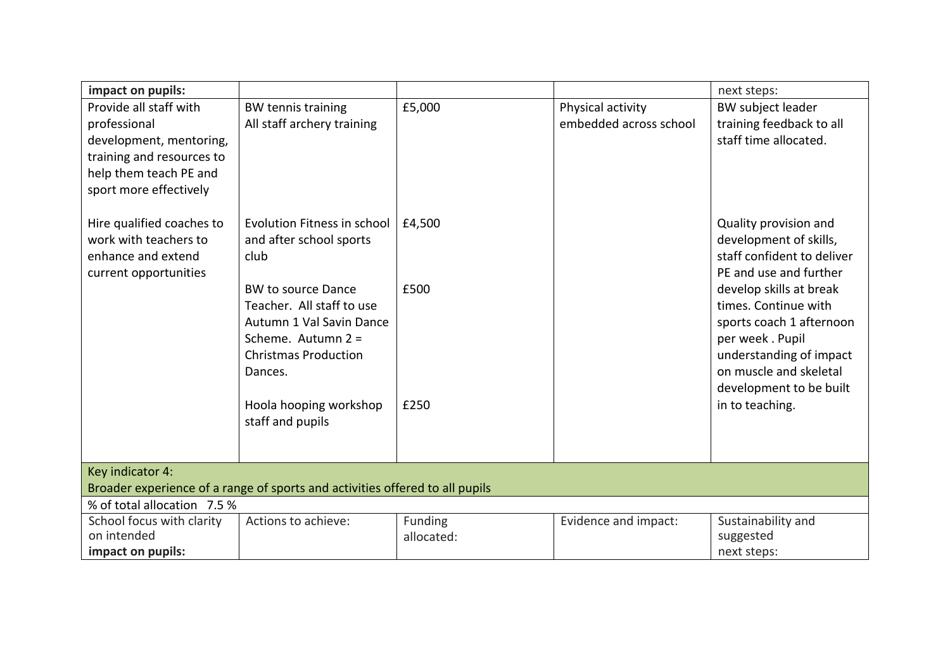| impact on pupils:                                                            |                             |            |                        | next steps:                |  |
|------------------------------------------------------------------------------|-----------------------------|------------|------------------------|----------------------------|--|
| Provide all staff with                                                       | <b>BW tennis training</b>   | £5,000     | Physical activity      | BW subject leader          |  |
| professional                                                                 | All staff archery training  |            | embedded across school | training feedback to all   |  |
| development, mentoring,                                                      |                             |            |                        | staff time allocated.      |  |
| training and resources to                                                    |                             |            |                        |                            |  |
| help them teach PE and                                                       |                             |            |                        |                            |  |
| sport more effectively                                                       |                             |            |                        |                            |  |
|                                                                              |                             |            |                        |                            |  |
| Hire qualified coaches to                                                    | Evolution Fitness in school | £4,500     |                        | Quality provision and      |  |
| work with teachers to                                                        | and after school sports     |            |                        | development of skills,     |  |
| enhance and extend                                                           | club                        |            |                        | staff confident to deliver |  |
| current opportunities                                                        |                             |            |                        | PE and use and further     |  |
|                                                                              | <b>BW to source Dance</b>   | £500       |                        | develop skills at break    |  |
|                                                                              | Teacher. All staff to use   |            |                        | times. Continue with       |  |
|                                                                              | Autumn 1 Val Savin Dance    |            |                        | sports coach 1 afternoon   |  |
|                                                                              | Scheme. Autumn 2 =          |            |                        | per week. Pupil            |  |
|                                                                              | <b>Christmas Production</b> |            |                        | understanding of impact    |  |
|                                                                              | Dances.                     |            |                        | on muscle and skeletal     |  |
|                                                                              |                             |            |                        | development to be built    |  |
|                                                                              | Hoola hooping workshop      | £250       |                        | in to teaching.            |  |
|                                                                              | staff and pupils            |            |                        |                            |  |
|                                                                              |                             |            |                        |                            |  |
|                                                                              |                             |            |                        |                            |  |
| Key indicator 4:                                                             |                             |            |                        |                            |  |
| Broader experience of a range of sports and activities offered to all pupils |                             |            |                        |                            |  |
| % of total allocation 7.5 %                                                  |                             |            |                        |                            |  |
| School focus with clarity                                                    | Actions to achieve:         | Funding    | Evidence and impact:   | Sustainability and         |  |
| on intended                                                                  |                             | allocated: |                        | suggested                  |  |
| impact on pupils:                                                            |                             |            |                        | next steps:                |  |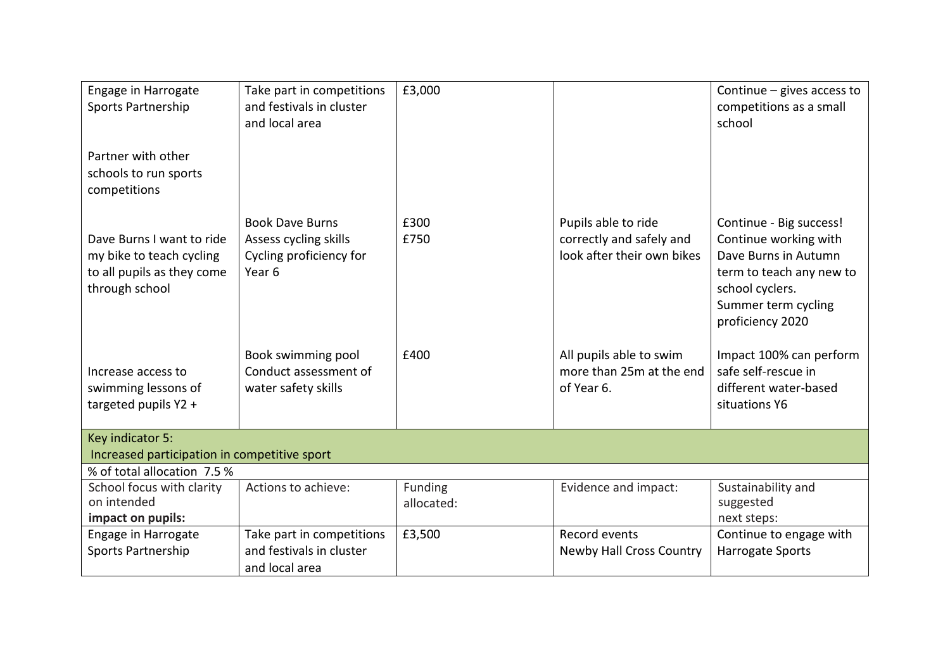| Engage in Harrogate<br>Sports Partnership<br>Partner with other<br>schools to run sports<br>competitions | Take part in competitions<br>and festivals in cluster<br>and local area                         | £3,000                |                                                                               | Continue $-$ gives access to<br>competitions as a small<br>school                                                                                                  |
|----------------------------------------------------------------------------------------------------------|-------------------------------------------------------------------------------------------------|-----------------------|-------------------------------------------------------------------------------|--------------------------------------------------------------------------------------------------------------------------------------------------------------------|
| Dave Burns I want to ride<br>my bike to teach cycling<br>to all pupils as they come<br>through school    | <b>Book Dave Burns</b><br>Assess cycling skills<br>Cycling proficiency for<br>Year <sub>6</sub> | £300<br>£750          | Pupils able to ride<br>correctly and safely and<br>look after their own bikes | Continue - Big success!<br>Continue working with<br>Dave Burns in Autumn<br>term to teach any new to<br>school cyclers.<br>Summer term cycling<br>proficiency 2020 |
| Increase access to<br>swimming lessons of<br>targeted pupils Y2 +                                        | Book swimming pool<br>Conduct assessment of<br>water safety skills                              | £400                  | All pupils able to swim<br>more than 25m at the end<br>of Year 6.             | Impact 100% can perform<br>safe self-rescue in<br>different water-based<br>situations Y6                                                                           |
| Key indicator 5:<br>Increased participation in competitive sport                                         |                                                                                                 |                       |                                                                               |                                                                                                                                                                    |
| % of total allocation 7.5 %                                                                              |                                                                                                 |                       |                                                                               |                                                                                                                                                                    |
| School focus with clarity<br>on intended<br>impact on pupils:                                            | Actions to achieve:                                                                             | Funding<br>allocated: | Evidence and impact:                                                          | Sustainability and<br>suggested<br>next steps:                                                                                                                     |
| Engage in Harrogate<br><b>Sports Partnership</b>                                                         | Take part in competitions<br>and festivals in cluster<br>and local area                         | £3,500                | Record events<br><b>Newby Hall Cross Country</b>                              | Continue to engage with<br><b>Harrogate Sports</b>                                                                                                                 |